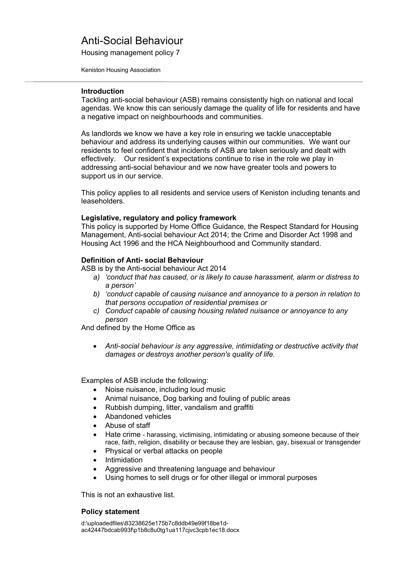Housing management policy 7

Keniston Housing Association

### **Introduction**

Tackling anti-social behaviour (ASB) remains consistently high on national and local agendas. We know this can seriously damage the quality of life for residents and have a negative impact on neighbourhoods and communities.

As landlords we know we have a key role in ensuring we tackle unacceptable behaviour and address its underlying causes within our communities. We want our residents to feel confident that incidents of ASB are taken seriously and dealt with effectively. Our resident's expectations continue to rise in the role we play in addressing anti-social behaviour and we now have greater tools and powers to support us in our service.

This policy applies to all residents and service users of Keniston including tenants and leaseholders.

## **Legislative, regulatory and policy framework**

This policy is supported by Home Office Guidance, the Respect Standard for Housing Management, Anti-social behaviour Act 2014; the Crime and Disorder Act 1998 and Housing Act 1996 and the HCA Neighbourhood and Community standard.

## **Definition of Anti- social Behaviour**

ASB is by the Anti-social behaviour Act 2014

- *a) 'conduct that has caused, or is likely to cause harassment, alarm or distress to a person'*
- *b) 'conduct capable of causing nuisance and annoyance to a person in relation to that persons occupation of residential premises or*
- *c) Conduct capable of causing housing related nuisance or annoyance to any person*

And defined by the Home Office as

 *Anti-social behaviour is any aggressive, intimidating or destructive activity that damages or destroys another person's quality of life.*

Examples of ASB include the following:

- Noise nuisance, including loud music
- Animal nuisance, Dog barking and fouling of public areas
- Rubbish dumping, litter, vandalism and graffiti
- Abandoned vehicles
- Abuse of staff
- Hate crime harassing, victimising, intimidating or abusing someone because of their race, faith, religion, disability or because they are lesbian, gay, bisexual or transgender
- Physical or verbal attacks on people
- Intimidation
- Aggressive and threatening language and behaviour
- Using homes to sell drugs or for other illegal or immoral purposes

This is not an exhaustive list.

## **Policy statement**

d:\uploadedfiles\83238625e175b7c8ddb49e99f18be1dac42447bdcab993f\p1b8c8u0tg1ua117cjvc3cpb1ec18.docx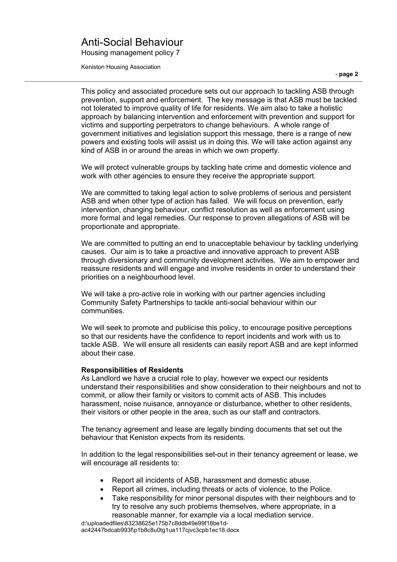Housing management policy 7

Keniston Housing Association

This policy and associated procedure sets out our approach to tackling ASB through prevention, support and enforcement. The key message is that ASB must be tackled not tolerated to improve quality of life for residents. We aim also to take a holistic approach by balancing intervention and enforcement with prevention and support for victims and supporting perpetrators to change behaviours. A whole range of government initiatives and legislation support this message, there is a range of new powers and existing tools will assist us in doing this. We will take action against any kind of ASB in or around the areas in which we own property.

We will protect vulnerable groups by tackling hate crime and domestic violence and work with other agencies to ensure they receive the appropriate support.

We are committed to taking legal action to solve problems of serious and persistent ASB and when other type of action has failed. We will focus on prevention, early intervention, changing behaviour, conflict resolution as well as enforcement using more formal and legal remedies. Our response to proven allegations of ASB will be proportionate and appropriate.

We are committed to putting an end to unacceptable behaviour by tackling underlying causes. Our aim is to take a proactive and innovative approach to prevent ASB through diversionary and community development activities. We aim to empower and reassure residents and will engage and involve residents in order to understand their priorities on a neighbourhood level.

We will take a pro-active role in working with our partner agencies including Community Safety Partnerships to tackle anti-social behaviour within our communities.

We will seek to promote and publicise this policy, to encourage positive perceptions so that our residents have the confidence to report incidents and work with us to tackle ASB. We will ensure all residents can easily report ASB and are kept informed about their case.

## **Responsibilities of Residents**

As Landlord we have a crucial role to play, however we expect our residents understand their responsibilities and show consideration to their neighbours and not to commit, or allow their family or visitors to commit acts of ASB. This includes harassment, noise nuisance, annoyance or disturbance, whether to other residents, their visitors or other people in the area, such as our staff and contractors.

The tenancy agreement and lease are legally binding documents that set out the behaviour that Keniston expects from its residents.

In addition to the legal responsibilities set-out in their tenancy agreement or lease, we will encourage all residents to:

- Report all incidents of ASB, harassment and domestic abuse.
- Report all crimes, including threats or acts of violence, to the Police.
- Take responsibility for minor personal disputes with their neighbours and to try to resolve any such problems themselves, where appropriate, in a reasonable manner, for example via a local mediation service.

d:\uploadedfiles\83238625e175b7c8ddb49e99f18be1dac42447bdcab993f\p1b8c8u0tg1ua117cjvc3cpb1ec18.docx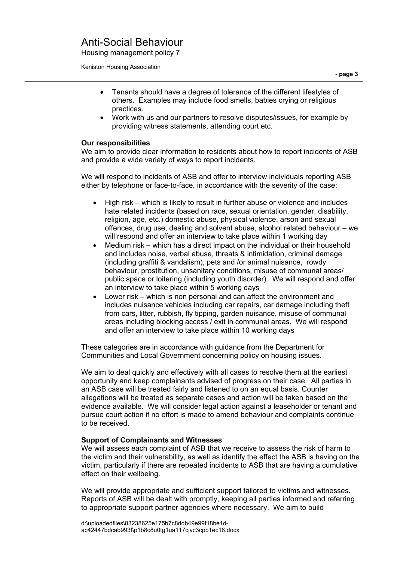Housing management policy 7

Keniston Housing Association

- Tenants should have a degree of tolerance of the different lifestyles of others. Examples may include food smells, babies crying or religious practices.
- Work with us and our partners to resolve disputes/issues, for example by providing witness statements, attending court etc.

## **Our responsibilities**

We aim to provide clear information to residents about how to report incidents of ASB and provide a wide variety of ways to report incidents.

We will respond to incidents of ASB and offer to interview individuals reporting ASB either by telephone or face-to-face, in accordance with the severity of the case:

- High risk which is likely to result in further abuse or violence and includes hate related incidents (based on race, sexual orientation, gender, disability, religion, age, etc.) domestic abuse, physical violence, arson and sexual offences, drug use, dealing and solvent abuse, alcohol related behaviour – we will respond and offer an interview to take place within 1 working day
- Medium risk which has a direct impact on the individual or their household and includes noise, verbal abuse, threats & intimidation, criminal damage (including graffiti & vandalism), pets and /or animal nuisance, rowdy behaviour, prostitution, unsanitary conditions, misuse of communal areas/ public space or loitering (including youth disorder). We will respond and offer an interview to take place within 5 working days
- Lower risk which is non personal and can affect the environment and includes nuisance vehicles including car repairs, car damage including theft from cars, litter, rubbish, fly tipping, garden nuisance, misuse of communal areas including blocking access / exit in communal areas. We will respond and offer an interview to take place within 10 working days

These categories are in accordance with guidance from the Department for Communities and Local Government concerning policy on housing issues.

We aim to deal quickly and effectively with all cases to resolve them at the earliest opportunity and keep complainants advised of progress on their case. All parties in an ASB case will be treated fairly and listened to on an equal basis. Counter allegations will be treated as separate cases and action will be taken based on the evidence available. We will consider legal action against a leaseholder or tenant and pursue court action if no effort is made to amend behaviour and complaints continue to be received.

## **Support of Complainants and Witnesses**

We will assess each complaint of ASB that we receive to assess the risk of harm to the victim and their vulnerability, as well as identify the effect the ASB is having on the victim, particularly if there are repeated incidents to ASB that are having a cumulative effect on their wellbeing.

We will provide appropriate and sufficient support tailored to victims and witnesses. Reports of ASB will be dealt with promptly, keeping all parties informed and referring to appropriate support partner agencies where necessary. We aim to build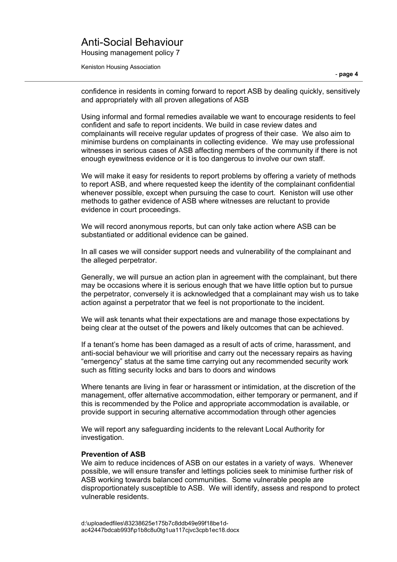Housing management policy 7

Keniston Housing Association

confidence in residents in coming forward to report ASB by dealing quickly, sensitively and appropriately with all proven allegations of ASB

Using informal and formal remedies available we want to encourage residents to feel confident and safe to report incidents. We build in case review dates and complainants will receive regular updates of progress of their case. We also aim to minimise burdens on complainants in collecting evidence. We may use professional witnesses in serious cases of ASB affecting members of the community if there is not enough eyewitness evidence or it is too dangerous to involve our own staff.

We will make it easy for residents to report problems by offering a variety of methods to report ASB, and where requested keep the identity of the complainant confidential whenever possible, except when pursuing the case to court. Keniston will use other methods to gather evidence of ASB where witnesses are reluctant to provide evidence in court proceedings.

We will record anonymous reports, but can only take action where ASB can be substantiated or additional evidence can be gained.

In all cases we will consider support needs and vulnerability of the complainant and the alleged perpetrator.

Generally, we will pursue an action plan in agreement with the complainant, but there may be occasions where it is serious enough that we have little option but to pursue the perpetrator, conversely it is acknowledged that a complainant may wish us to take action against a perpetrator that we feel is not proportionate to the incident.

We will ask tenants what their expectations are and manage those expectations by being clear at the outset of the powers and likely outcomes that can be achieved.

If a tenant's home has been damaged as a result of acts of crime, harassment, and anti-social behaviour we will prioritise and carry out the necessary repairs as having "emergency" status at the same time carrying out any recommended security work such as fitting security locks and bars to doors and windows

Where tenants are living in fear or harassment or intimidation, at the discretion of the management, offer alternative accommodation, either temporary or permanent, and if this is recommended by the Police and appropriate accommodation is available, or provide support in securing alternative accommodation through other agencies

We will report any safeguarding incidents to the relevant Local Authority for investigation.

#### **Prevention of ASB**

We aim to reduce incidences of ASB on our estates in a variety of ways.Whenever possible, we will ensure transfer and lettings policies seek to minimise further risk of ASB working towards balanced communities. Some vulnerable people are disproportionately susceptible to ASB. We will identify, assess and respond to protect vulnerable residents.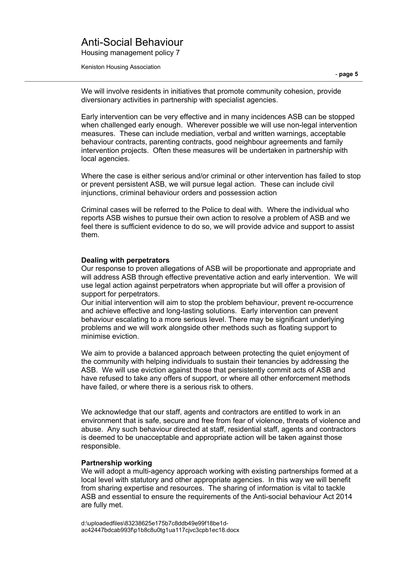Housing management policy 7

Keniston Housing Association

We will involve residents in initiatives that promote community cohesion, provide diversionary activities in partnership with specialist agencies.

Early intervention can be very effective and in many incidences ASB can be stopped when challenged early enough. Wherever possible we will use non-legal intervention measures. These can include mediation, verbal and written warnings, acceptable behaviour contracts, parenting contracts, good neighbour agreements and family intervention projects. Often these measures will be undertaken in partnership with local agencies.

Where the case is either serious and/or criminal or other intervention has failed to stop or prevent persistent ASB, we will pursue legal action. These can include civil injunctions, criminal behaviour orders and possession action

Criminal cases will be referred to the Police to deal with. Where the individual who reports ASB wishes to pursue their own action to resolve a problem of ASB and we feel there is sufficient evidence to do so, we will provide advice and support to assist them.

### **Dealing with perpetrators**

Our response to proven allegations of ASB will be proportionate and appropriate and will address ASB through effective preventative action and early intervention. We will use legal action against perpetrators when appropriate but will offer a provision of support for perpetrators.

Our initial intervention will aim to stop the problem behaviour, prevent re-occurrence and achieve effective and long-lasting solutions. Early intervention can prevent behaviour escalating to a more serious level. There may be significant underlying problems and we will work alongside other methods such as floating support to minimise eviction.

We aim to provide a balanced approach between protecting the quiet enjoyment of the community with helping individuals to sustain their tenancies by addressing the ASB. We will use eviction against those that persistently commit acts of ASB and have refused to take any offers of support, or where all other enforcement methods have failed, or where there is a serious risk to others.

We acknowledge that our staff, agents and contractors are entitled to work in an environment that is safe, secure and free from fear of violence, threats of violence and abuse. Any such behaviour directed at staff, residential staff, agents and contractors is deemed to be unacceptable and appropriate action will be taken against those responsible.

### **Partnership working**

We will adopt a multi-agency approach working with existing partnerships formed at a local level with statutory and other appropriate agencies. In this way we will benefit from sharing expertise and resources. The sharing of information is vital to tackle ASB and essential to ensure the requirements of the Anti-social behaviour Act 2014 are fully met.